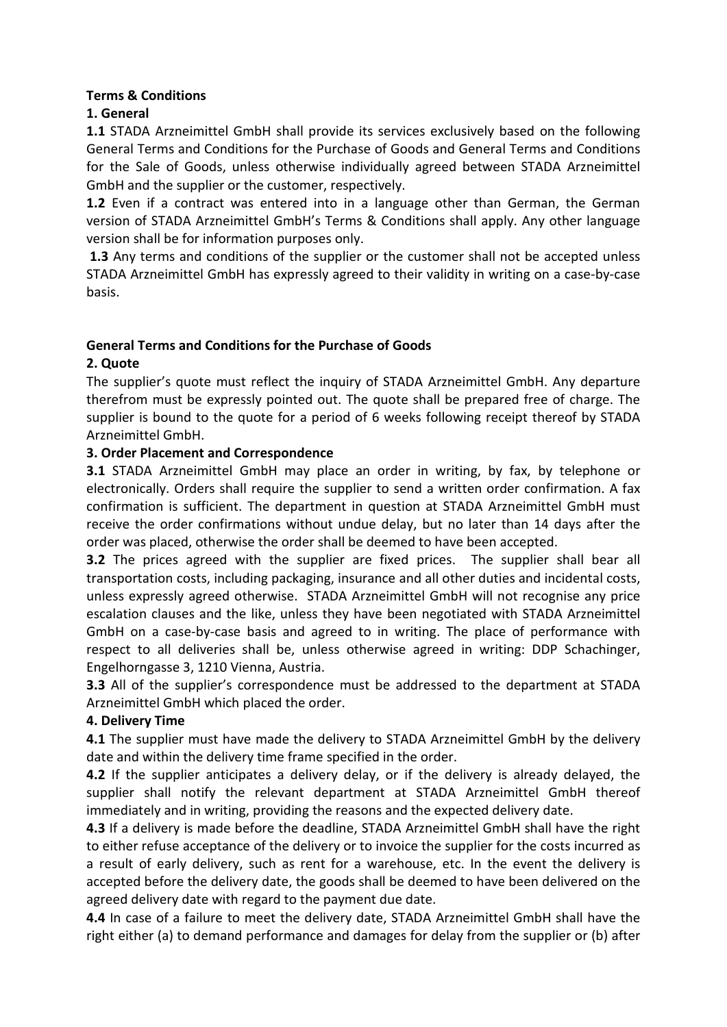## **Terms & Conditions**

# **1. General**

**1.1** STADA Arzneimittel GmbH shall provide its services exclusively based on the following General Terms and Conditions for the Purchase of Goods and General Terms and Conditions for the Sale of Goods, unless otherwise individually agreed between STADA Arzneimittel GmbH and the supplier or the customer, respectively.

**1.2** Even if a contract was entered into in a language other than German, the German version of STADA Arzneimittel GmbH's Terms & Conditions shall apply. Any other language version shall be for information purposes only.

 **1.3** Any terms and conditions of the supplier or the customer shall not be accepted unless STADA Arzneimittel GmbH has expressly agreed to their validity in writing on a case-by-case basis.

## **General Terms and Conditions for the Purchase of Goods**

## **2. Quote**

The supplier's quote must reflect the inquiry of STADA Arzneimittel GmbH. Any departure therefrom must be expressly pointed out. The quote shall be prepared free of charge. The supplier is bound to the quote for a period of 6 weeks following receipt thereof by STADA Arzneimittel GmbH.

# **3. Order Placement and Correspondence**

**3.1** STADA Arzneimittel GmbH may place an order in writing, by fax, by telephone or electronically. Orders shall require the supplier to send a written order confirmation. A fax confirmation is sufficient. The department in question at STADA Arzneimittel GmbH must receive the order confirmations without undue delay, but no later than 14 days after the order was placed, otherwise the order shall be deemed to have been accepted.

**3.2** The prices agreed with the supplier are fixed prices. The supplier shall bear all transportation costs, including packaging, insurance and all other duties and incidental costs, unless expressly agreed otherwise. STADA Arzneimittel GmbH will not recognise any price escalation clauses and the like, unless they have been negotiated with STADA Arzneimittel GmbH on a case-by-case basis and agreed to in writing. The place of performance with respect to all deliveries shall be, unless otherwise agreed in writing: DDP Schachinger, Engelhorngasse 3, 1210 Vienna, Austria.

**3.3** All of the supplier's correspondence must be addressed to the department at STADA Arzneimittel GmbH which placed the order.

## **4. Delivery Time**

**4.1** The supplier must have made the delivery to STADA Arzneimittel GmbH by the delivery date and within the delivery time frame specified in the order.

**4.2** If the supplier anticipates a delivery delay, or if the delivery is already delayed, the supplier shall notify the relevant department at STADA Arzneimittel GmbH thereof immediately and in writing, providing the reasons and the expected delivery date.

**4.3** If a delivery is made before the deadline, STADA Arzneimittel GmbH shall have the right to either refuse acceptance of the delivery or to invoice the supplier for the costs incurred as a result of early delivery, such as rent for a warehouse, etc. In the event the delivery is accepted before the delivery date, the goods shall be deemed to have been delivered on the agreed delivery date with regard to the payment due date.

**4.4** In case of a failure to meet the delivery date, STADA Arzneimittel GmbH shall have the right either (a) to demand performance and damages for delay from the supplier or (b) after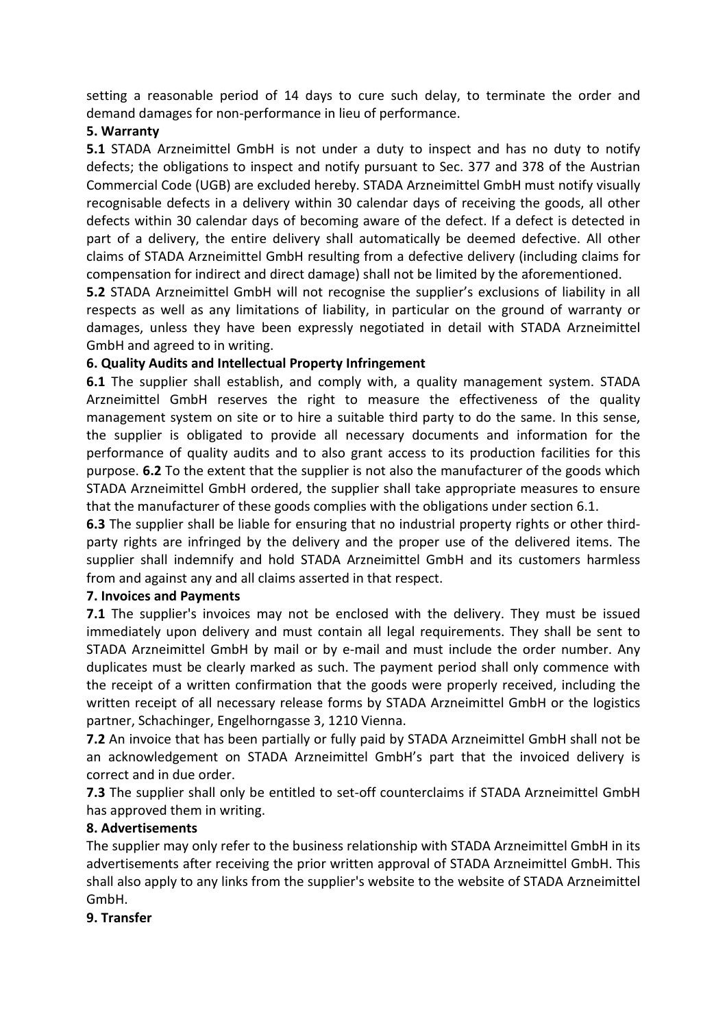setting a reasonable period of 14 days to cure such delay, to terminate the order and demand damages for non-performance in lieu of performance.

### **5. Warranty**

**5.1** STADA Arzneimittel GmbH is not under a duty to inspect and has no duty to notify defects; the obligations to inspect and notify pursuant to Sec. 377 and 378 of the Austrian Commercial Code (UGB) are excluded hereby. STADA Arzneimittel GmbH must notify visually recognisable defects in a delivery within 30 calendar days of receiving the goods, all other defects within 30 calendar days of becoming aware of the defect. If a defect is detected in part of a delivery, the entire delivery shall automatically be deemed defective. All other claims of STADA Arzneimittel GmbH resulting from a defective delivery (including claims for compensation for indirect and direct damage) shall not be limited by the aforementioned.

**5.2** STADA Arzneimittel GmbH will not recognise the supplier's exclusions of liability in all respects as well as any limitations of liability, in particular on the ground of warranty or damages, unless they have been expressly negotiated in detail with STADA Arzneimittel GmbH and agreed to in writing.

## **6. Quality Audits and Intellectual Property Infringement**

**6.1** The supplier shall establish, and comply with, a quality management system. STADA Arzneimittel GmbH reserves the right to measure the effectiveness of the quality management system on site or to hire a suitable third party to do the same. In this sense, the supplier is obligated to provide all necessary documents and information for the performance of quality audits and to also grant access to its production facilities for this purpose. **6.2** To the extent that the supplier is not also the manufacturer of the goods which STADA Arzneimittel GmbH ordered, the supplier shall take appropriate measures to ensure that the manufacturer of these goods complies with the obligations under section 6.1.

**6.3** The supplier shall be liable for ensuring that no industrial property rights or other thirdparty rights are infringed by the delivery and the proper use of the delivered items. The supplier shall indemnify and hold STADA Arzneimittel GmbH and its customers harmless from and against any and all claims asserted in that respect.

## **7. Invoices and Payments**

**7.1** The supplier's invoices may not be enclosed with the delivery. They must be issued immediately upon delivery and must contain all legal requirements. They shall be sent to STADA Arzneimittel GmbH by mail or by e-mail and must include the order number. Any duplicates must be clearly marked as such. The payment period shall only commence with the receipt of a written confirmation that the goods were properly received, including the written receipt of all necessary release forms by STADA Arzneimittel GmbH or the logistics partner, Schachinger, Engelhorngasse 3, 1210 Vienna.

**7.2** An invoice that has been partially or fully paid by STADA Arzneimittel GmbH shall not be an acknowledgement on STADA Arzneimittel GmbH's part that the invoiced delivery is correct and in due order.

**7.3** The supplier shall only be entitled to set-off counterclaims if STADA Arzneimittel GmbH has approved them in writing.

#### **8. Advertisements**

The supplier may only refer to the business relationship with STADA Arzneimittel GmbH in its advertisements after receiving the prior written approval of STADA Arzneimittel GmbH. This shall also apply to any links from the supplier's website to the website of STADA Arzneimittel GmbH.

#### **9. Transfer**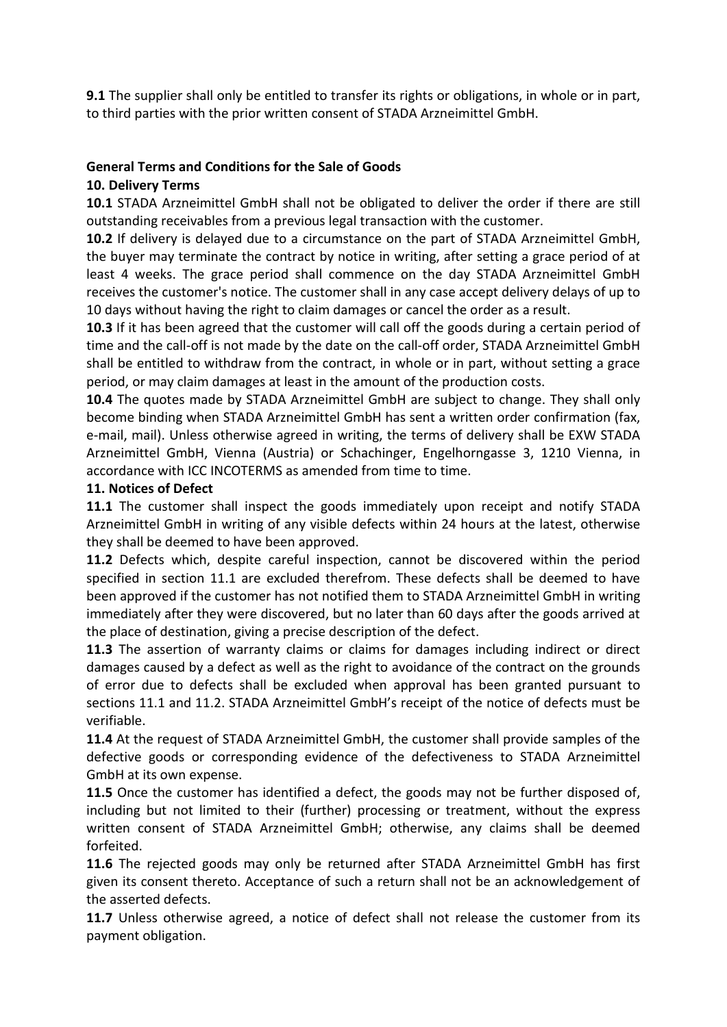**9.1** The supplier shall only be entitled to transfer its rights or obligations, in whole or in part, to third parties with the prior written consent of STADA Arzneimittel GmbH.

# **General Terms and Conditions for the Sale of Goods**

## **10. Delivery Terms**

**10.1** STADA Arzneimittel GmbH shall not be obligated to deliver the order if there are still outstanding receivables from a previous legal transaction with the customer.

**10.2** If delivery is delayed due to a circumstance on the part of STADA Arzneimittel GmbH, the buyer may terminate the contract by notice in writing, after setting a grace period of at least 4 weeks. The grace period shall commence on the day STADA Arzneimittel GmbH receives the customer's notice. The customer shall in any case accept delivery delays of up to 10 days without having the right to claim damages or cancel the order as a result.

**10.3** If it has been agreed that the customer will call off the goods during a certain period of time and the call-off is not made by the date on the call-off order, STADA Arzneimittel GmbH shall be entitled to withdraw from the contract, in whole or in part, without setting a grace period, or may claim damages at least in the amount of the production costs.

**10.4** The quotes made by STADA Arzneimittel GmbH are subject to change. They shall only become binding when STADA Arzneimittel GmbH has sent a written order confirmation (fax, e-mail, mail). Unless otherwise agreed in writing, the terms of delivery shall be EXW STADA Arzneimittel GmbH, Vienna (Austria) or Schachinger, Engelhorngasse 3, 1210 Vienna, in accordance with ICC INCOTERMS as amended from time to time.

### **11. Notices of Defect**

**11.1** The customer shall inspect the goods immediately upon receipt and notify STADA Arzneimittel GmbH in writing of any visible defects within 24 hours at the latest, otherwise they shall be deemed to have been approved.

**11.2** Defects which, despite careful inspection, cannot be discovered within the period specified in section 11.1 are excluded therefrom. These defects shall be deemed to have been approved if the customer has not notified them to STADA Arzneimittel GmbH in writing immediately after they were discovered, but no later than 60 days after the goods arrived at the place of destination, giving a precise description of the defect.

**11.3** The assertion of warranty claims or claims for damages including indirect or direct damages caused by a defect as well as the right to avoidance of the contract on the grounds of error due to defects shall be excluded when approval has been granted pursuant to sections 11.1 and 11.2. STADA Arzneimittel GmbH's receipt of the notice of defects must be verifiable.

**11.4** At the request of STADA Arzneimittel GmbH, the customer shall provide samples of the defective goods or corresponding evidence of the defectiveness to STADA Arzneimittel GmbH at its own expense.

**11.5** Once the customer has identified a defect, the goods may not be further disposed of, including but not limited to their (further) processing or treatment, without the express written consent of STADA Arzneimittel GmbH; otherwise, any claims shall be deemed forfeited.

**11.6** The rejected goods may only be returned after STADA Arzneimittel GmbH has first given its consent thereto. Acceptance of such a return shall not be an acknowledgement of the asserted defects.

**11.7** Unless otherwise agreed, a notice of defect shall not release the customer from its payment obligation.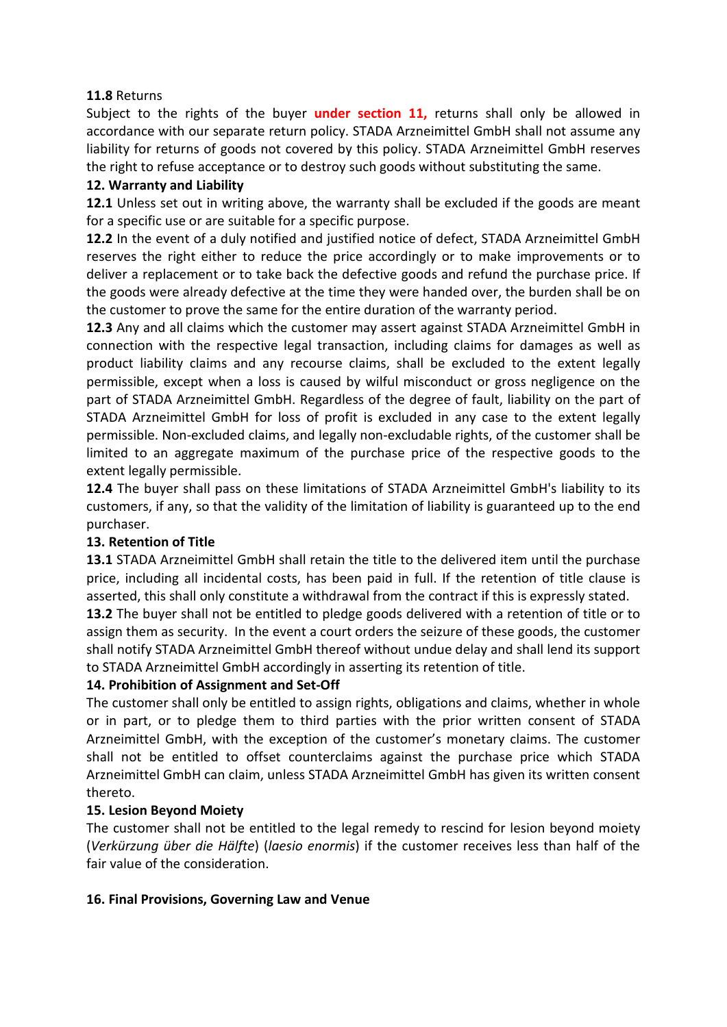### **11.8** Returns

Subject to the rights of the buyer **under section 11,** returns shall only be allowed in accordance with our separate return policy. STADA Arzneimittel GmbH shall not assume any liability for returns of goods not covered by this policy. STADA Arzneimittel GmbH reserves the right to refuse acceptance or to destroy such goods without substituting the same.

### **12. Warranty and Liability**

**12.1** Unless set out in writing above, the warranty shall be excluded if the goods are meant for a specific use or are suitable for a specific purpose.

**12.2** In the event of a duly notified and justified notice of defect, STADA Arzneimittel GmbH reserves the right either to reduce the price accordingly or to make improvements or to deliver a replacement or to take back the defective goods and refund the purchase price. If the goods were already defective at the time they were handed over, the burden shall be on the customer to prove the same for the entire duration of the warranty period.

**12.3** Any and all claims which the customer may assert against STADA Arzneimittel GmbH in connection with the respective legal transaction, including claims for damages as well as product liability claims and any recourse claims, shall be excluded to the extent legally permissible, except when a loss is caused by wilful misconduct or gross negligence on the part of STADA Arzneimittel GmbH. Regardless of the degree of fault, liability on the part of STADA Arzneimittel GmbH for loss of profit is excluded in any case to the extent legally permissible. Non-excluded claims, and legally non-excludable rights, of the customer shall be limited to an aggregate maximum of the purchase price of the respective goods to the extent legally permissible.

**12.4** The buyer shall pass on these limitations of STADA Arzneimittel GmbH's liability to its customers, if any, so that the validity of the limitation of liability is guaranteed up to the end purchaser.

## **13. Retention of Title**

**13.1** STADA Arzneimittel GmbH shall retain the title to the delivered item until the purchase price, including all incidental costs, has been paid in full. If the retention of title clause is asserted, this shall only constitute a withdrawal from the contract if this is expressly stated.

**13.2** The buyer shall not be entitled to pledge goods delivered with a retention of title or to assign them as security. In the event a court orders the seizure of these goods, the customer shall notify STADA Arzneimittel GmbH thereof without undue delay and shall lend its support to STADA Arzneimittel GmbH accordingly in asserting its retention of title.

## **14. Prohibition of Assignment and Set-Off**

The customer shall only be entitled to assign rights, obligations and claims, whether in whole or in part, or to pledge them to third parties with the prior written consent of STADA Arzneimittel GmbH, with the exception of the customer's monetary claims. The customer shall not be entitled to offset counterclaims against the purchase price which STADA Arzneimittel GmbH can claim, unless STADA Arzneimittel GmbH has given its written consent thereto.

## **15. Lesion Beyond Moiety**

The customer shall not be entitled to the legal remedy to rescind for lesion beyond moiety (*Verkürzung über die Hälfte*) (*laesio enormis*) if the customer receives less than half of the fair value of the consideration.

#### **16. Final Provisions, Governing Law and Venue**